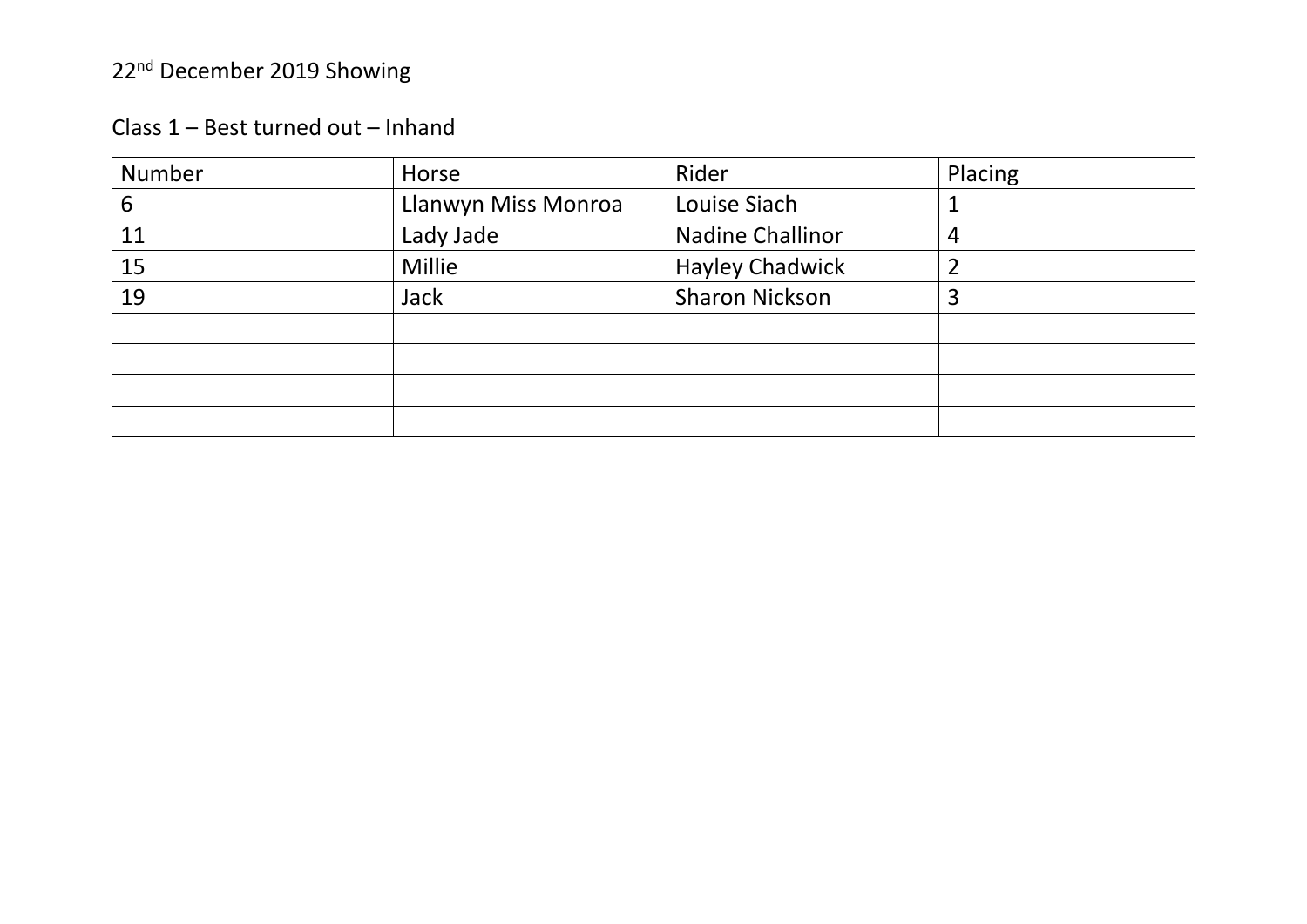| Class 1 - Best turned out - Inhand |
|------------------------------------|
|                                    |

| Number | Horse               | Rider                   | Placing |
|--------|---------------------|-------------------------|---------|
| 6      | Llanwyn Miss Monroa | Louise Siach            |         |
| 11     | Lady Jade           | <b>Nadine Challinor</b> | 4       |
| 15     | <b>Millie</b>       | <b>Hayley Chadwick</b>  |         |
| 19     | <b>Jack</b>         | <b>Sharon Nickson</b>   | 3       |
|        |                     |                         |         |
|        |                     |                         |         |
|        |                     |                         |         |
|        |                     |                         |         |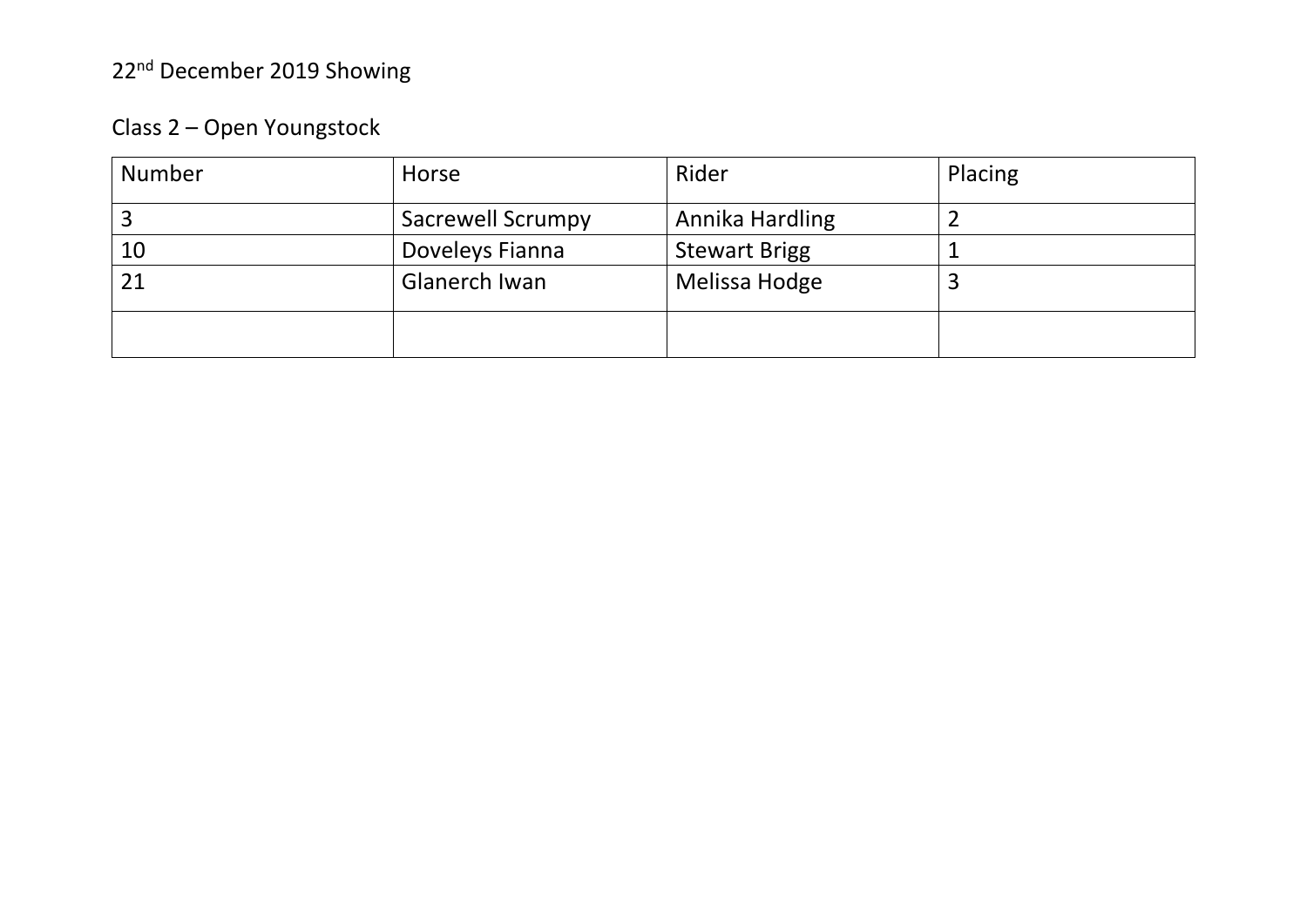### Class 2 – Open Youngstock

| <b>Number</b> | Horse                    | Rider                | Placing |
|---------------|--------------------------|----------------------|---------|
|               | <b>Sacrewell Scrumpy</b> | Annika Hardling      |         |
| 10            | Doveleys Fianna          | <b>Stewart Brigg</b> |         |
| 21            | Glanerch Iwan            | Melissa Hodge        |         |
|               |                          |                      |         |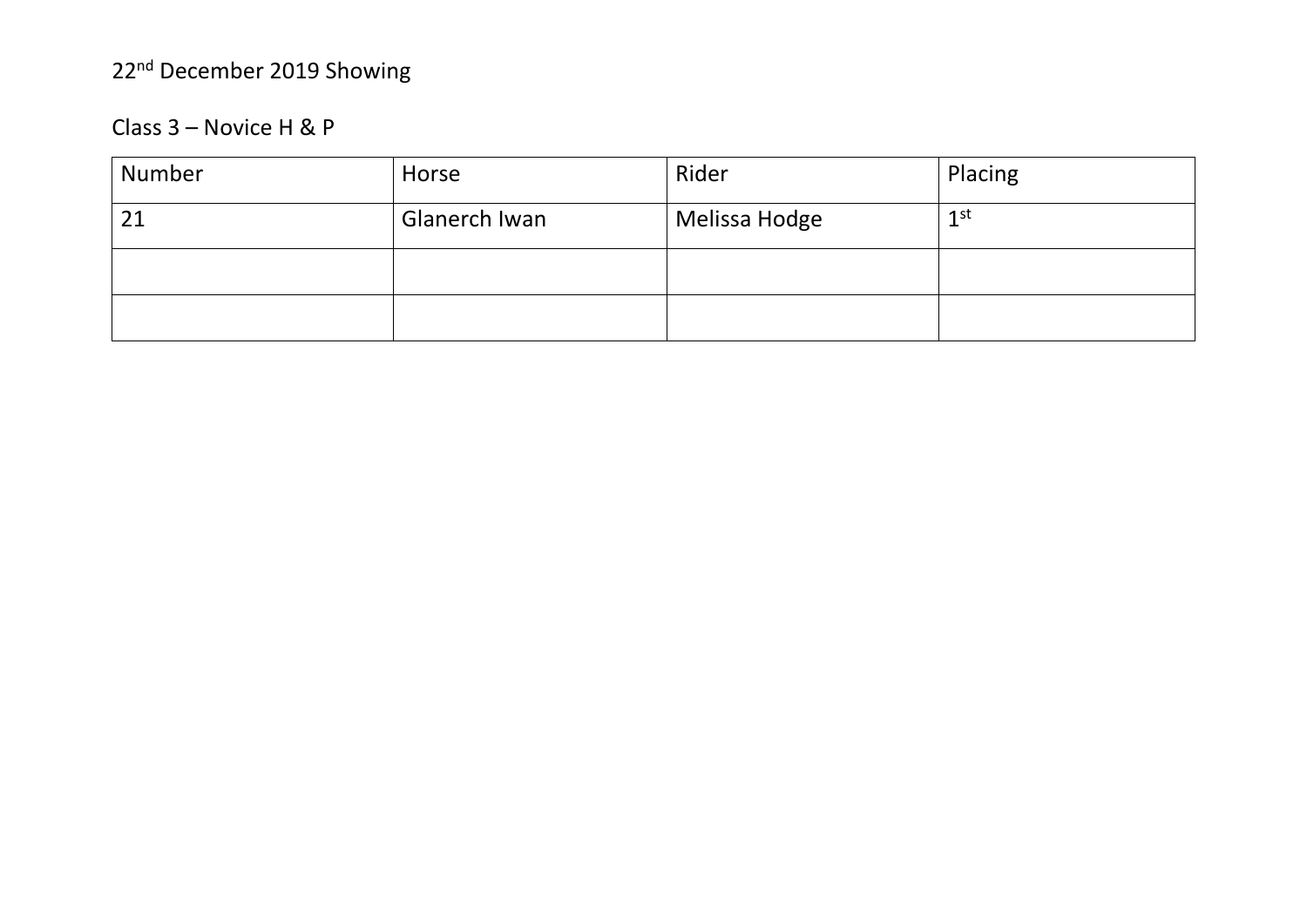#### Class 3 - Novice H & P

| Number | Horse         | Rider         | Placing         |
|--------|---------------|---------------|-----------------|
| 21     | Glanerch Iwan | Melissa Hodge | 1 <sup>st</sup> |
|        |               |               |                 |
|        |               |               |                 |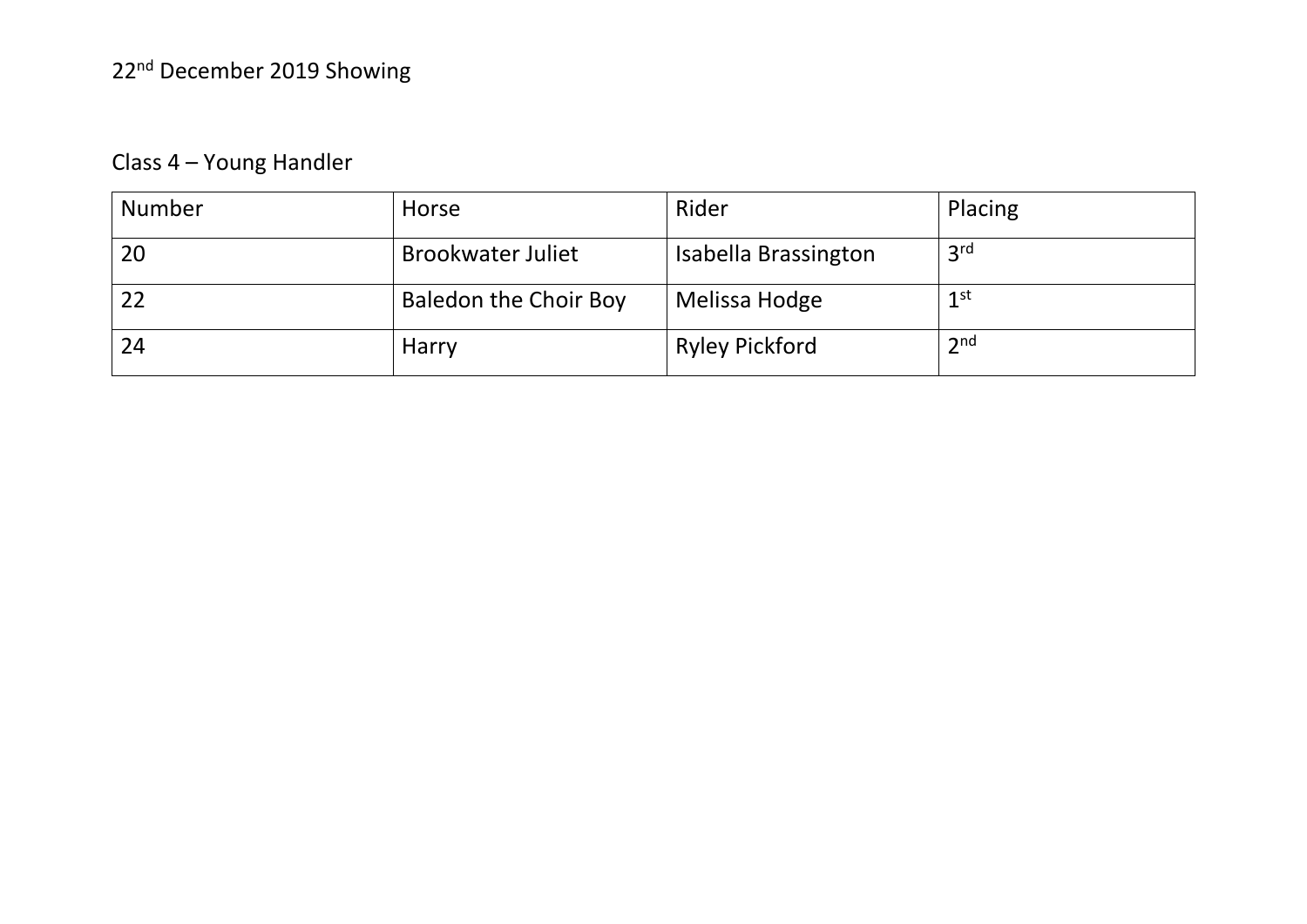### Class 4 – Young Handler

| <b>Number</b> | Horse                        | Rider                 | Placing         |
|---------------|------------------------------|-----------------------|-----------------|
| 20            | <b>Brookwater Juliet</b>     | Isabella Brassington  | 3 <sup>rd</sup> |
| 22            | <b>Baledon the Choir Boy</b> | Melissa Hodge         | $1$ st          |
| 24            | <b>Harry</b>                 | <b>Ryley Pickford</b> | 2 <sub>nd</sub> |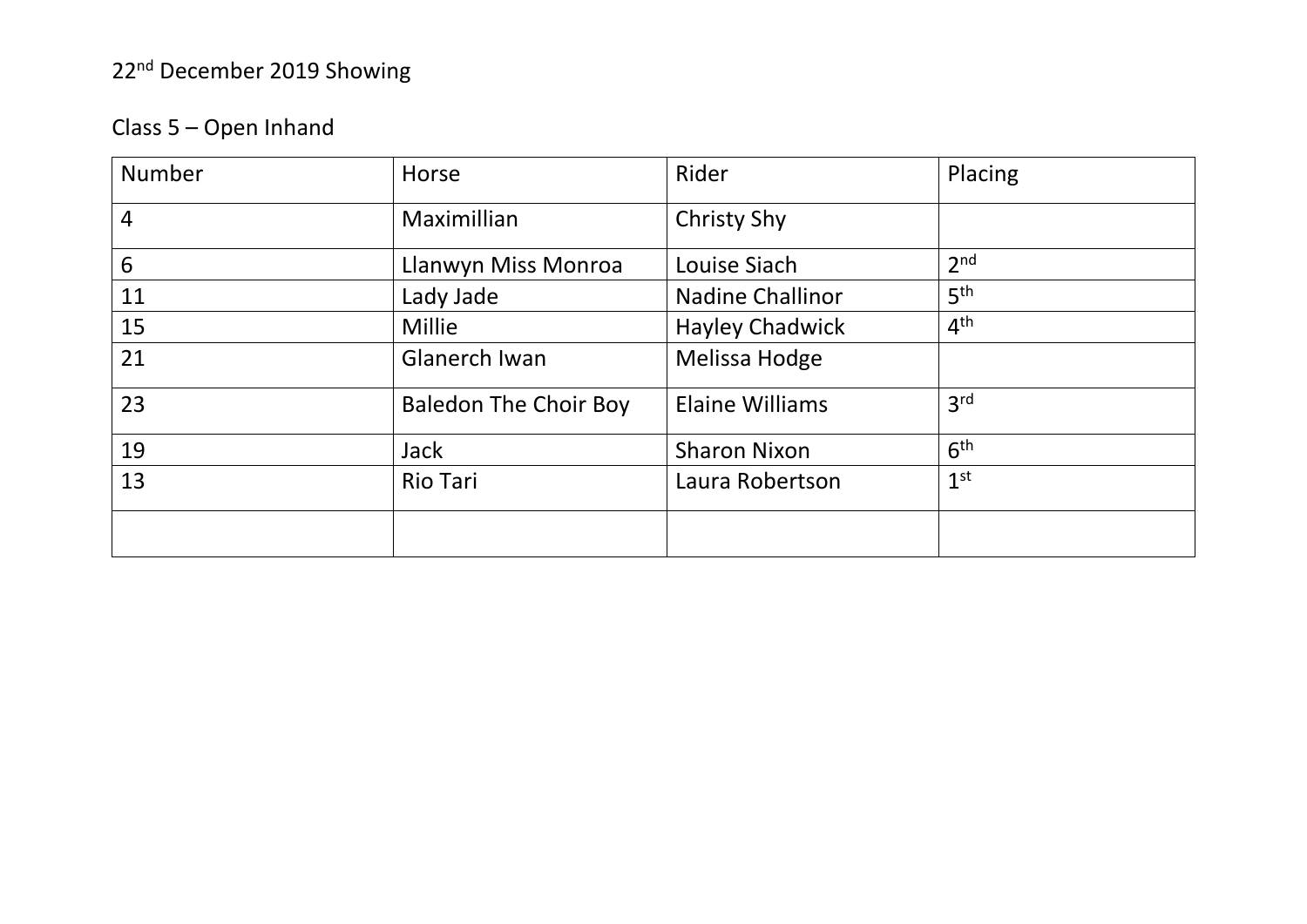### Class 5 – Open Inhand

| Number         | Horse                        | Rider                   | Placing         |
|----------------|------------------------------|-------------------------|-----------------|
| $\overline{4}$ | Maximillian                  | <b>Christy Shy</b>      |                 |
| 6              | Llanwyn Miss Monroa          | Louise Siach            | 2 <sub>nd</sub> |
| 11             | Lady Jade                    | <b>Nadine Challinor</b> | 5 <sup>th</sup> |
| 15             | Millie                       | <b>Hayley Chadwick</b>  | 4 <sup>th</sup> |
| 21             | Glanerch Iwan                | Melissa Hodge           |                 |
| 23             | <b>Baledon The Choir Boy</b> | <b>Elaine Williams</b>  | 3 <sup>rd</sup> |
| 19             | <b>Jack</b>                  | <b>Sharon Nixon</b>     | 6 <sup>th</sup> |
| 13             | <b>Rio Tari</b>              | Laura Robertson         | 1 <sup>st</sup> |
|                |                              |                         |                 |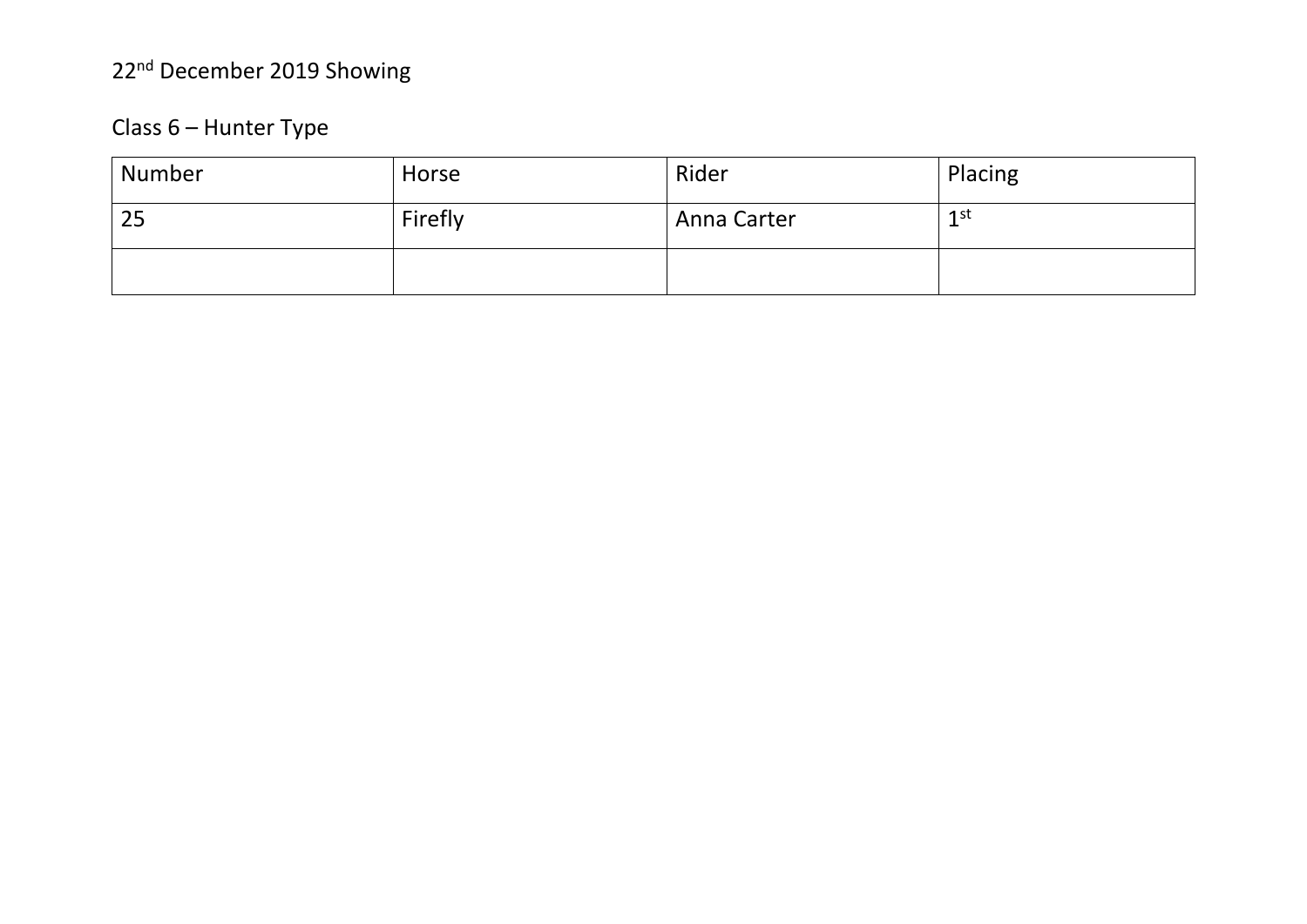### Class 6 – Hunter Type

| Number | Horse   | Rider       | Placing         |
|--------|---------|-------------|-----------------|
| 25     | Firefly | Anna Carter | 1 <sup>st</sup> |
|        |         |             |                 |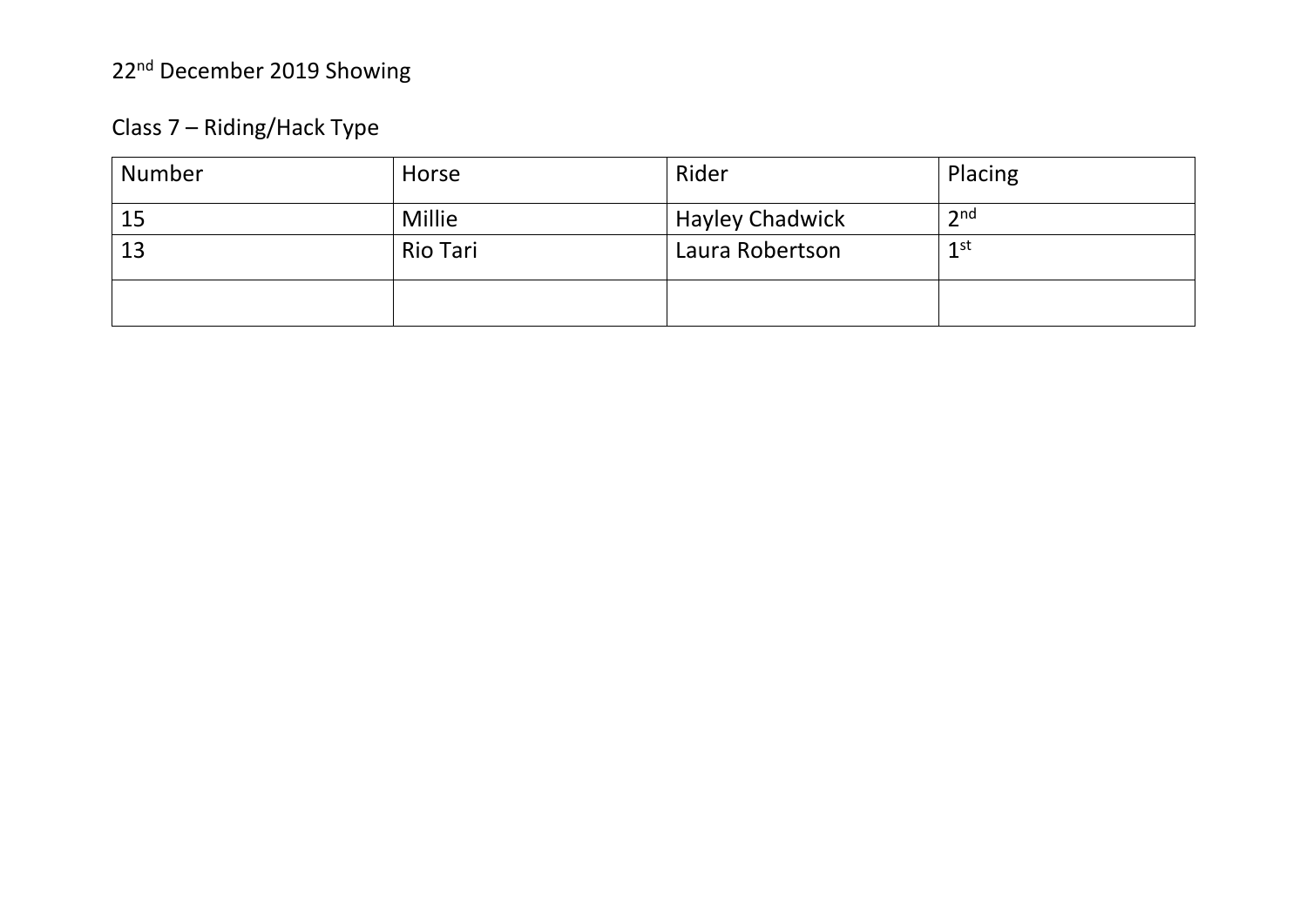### Class 7 – Riding/Hack Type

| Number | Horse    | Rider                  | Placing         |
|--------|----------|------------------------|-----------------|
| 15     | Millie   | <b>Hayley Chadwick</b> | 2 <sub>nd</sub> |
| 13     | Rio Tari | Laura Robertson        | 1 <sup>st</sup> |
|        |          |                        |                 |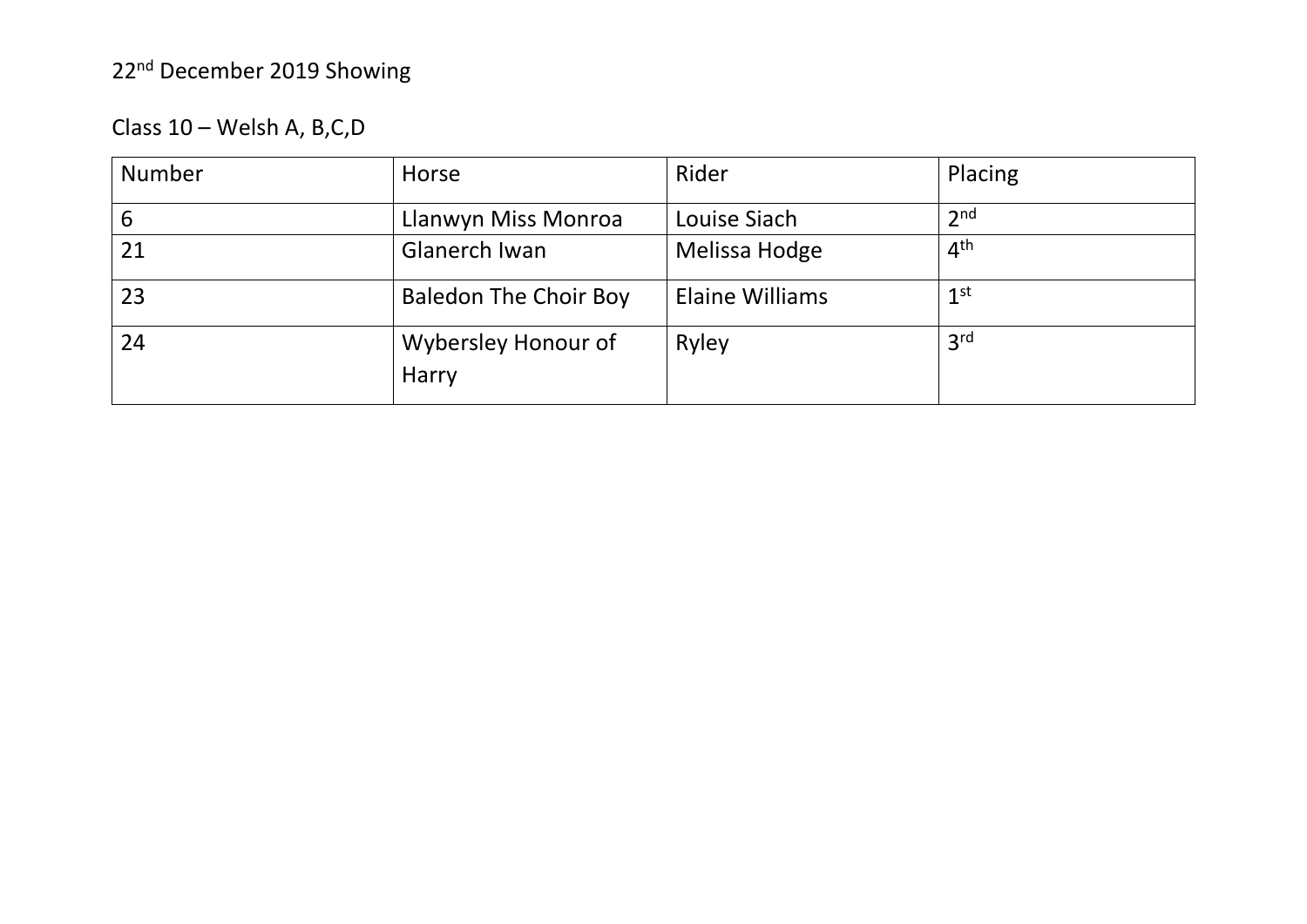| Class 10 - Welsh A, B, C, D |  |  |  |  |
|-----------------------------|--|--|--|--|
|-----------------------------|--|--|--|--|

| <b>Number</b> | Horse                               | Rider                  | Placing         |
|---------------|-------------------------------------|------------------------|-----------------|
| 6             | Llanwyn Miss Monroa                 | Louise Siach           | 2 <sub>nd</sub> |
| 21            | Glanerch Iwan                       | Melissa Hodge          | 4 <sup>th</sup> |
| 23            | <b>Baledon The Choir Boy</b>        | <b>Elaine Williams</b> | 1 <sup>st</sup> |
| 24            | Wybersley Honour of<br><b>Harry</b> | Ryley                  | 3 <sup>rd</sup> |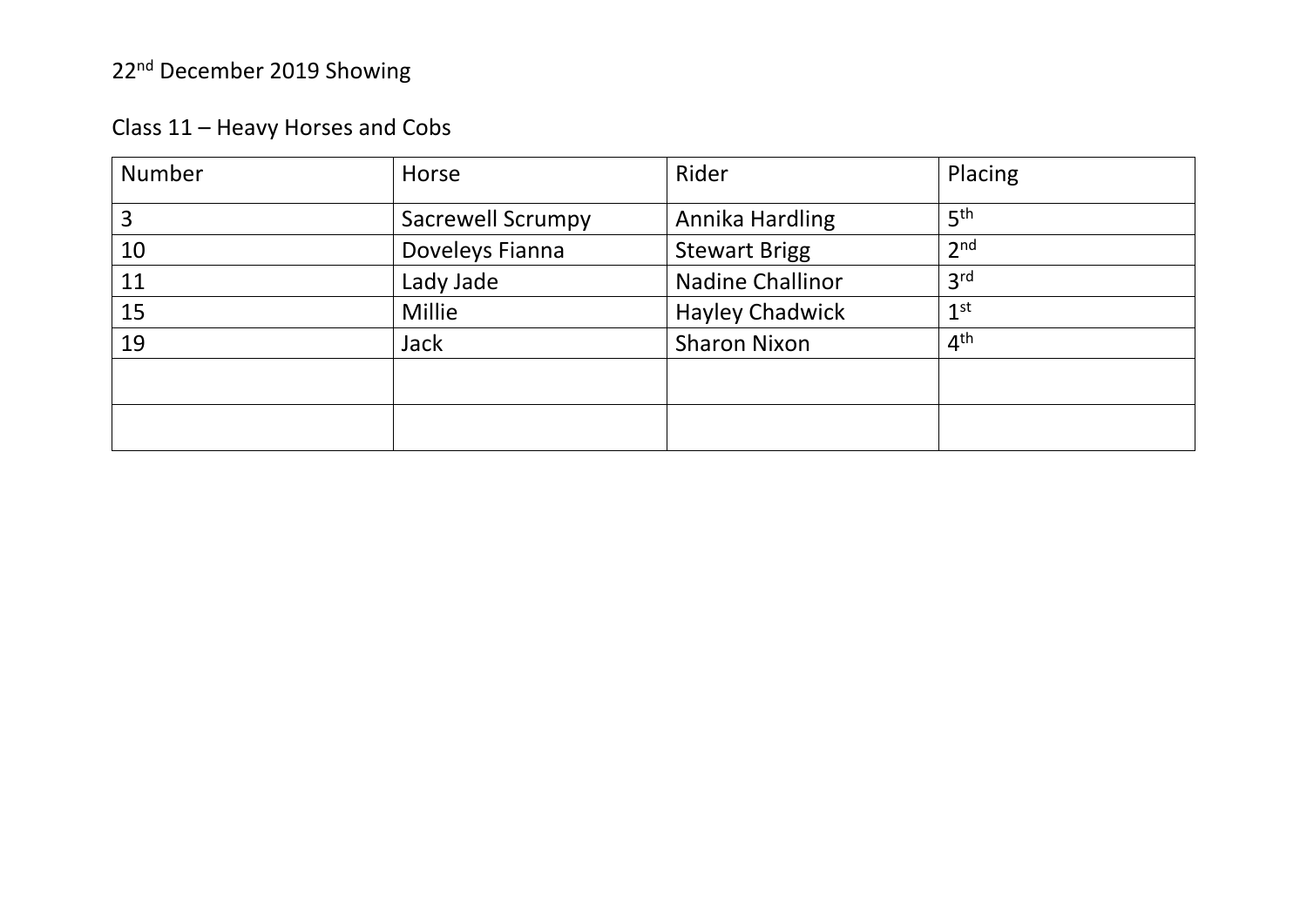| Number | Horse                    | Rider                   | Placing         |
|--------|--------------------------|-------------------------|-----------------|
| 3      | <b>Sacrewell Scrumpy</b> | Annika Hardling         | 5 <sup>th</sup> |
| 10     | Doveleys Fianna          | <b>Stewart Brigg</b>    | 2 <sub>nd</sub> |
| 11     | Lady Jade                | <b>Nadine Challinor</b> | 3 <sup>rd</sup> |
| 15     | Millie                   | <b>Hayley Chadwick</b>  | 1 <sup>st</sup> |
| 19     | <b>Jack</b>              | <b>Sharon Nixon</b>     | 4 <sup>th</sup> |
|        |                          |                         |                 |
|        |                          |                         |                 |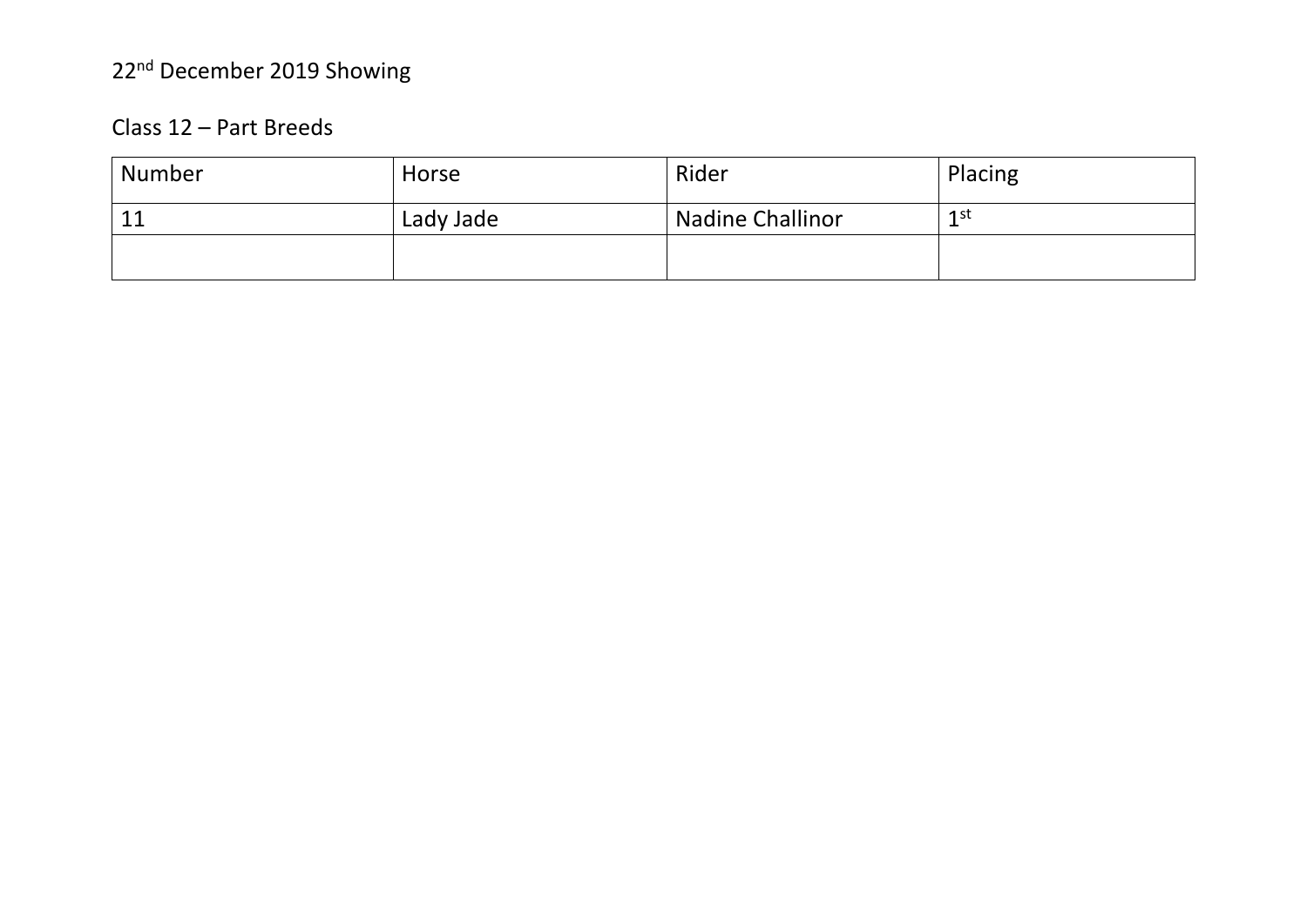#### Class 12 – Part Breeds

| <b>Number</b>        | Horse     | Rider                   | Placing |
|----------------------|-----------|-------------------------|---------|
| 11<br>المقابلة المنا | Lady Jade | <b>Nadine Challinor</b> | 1 st    |
|                      |           |                         |         |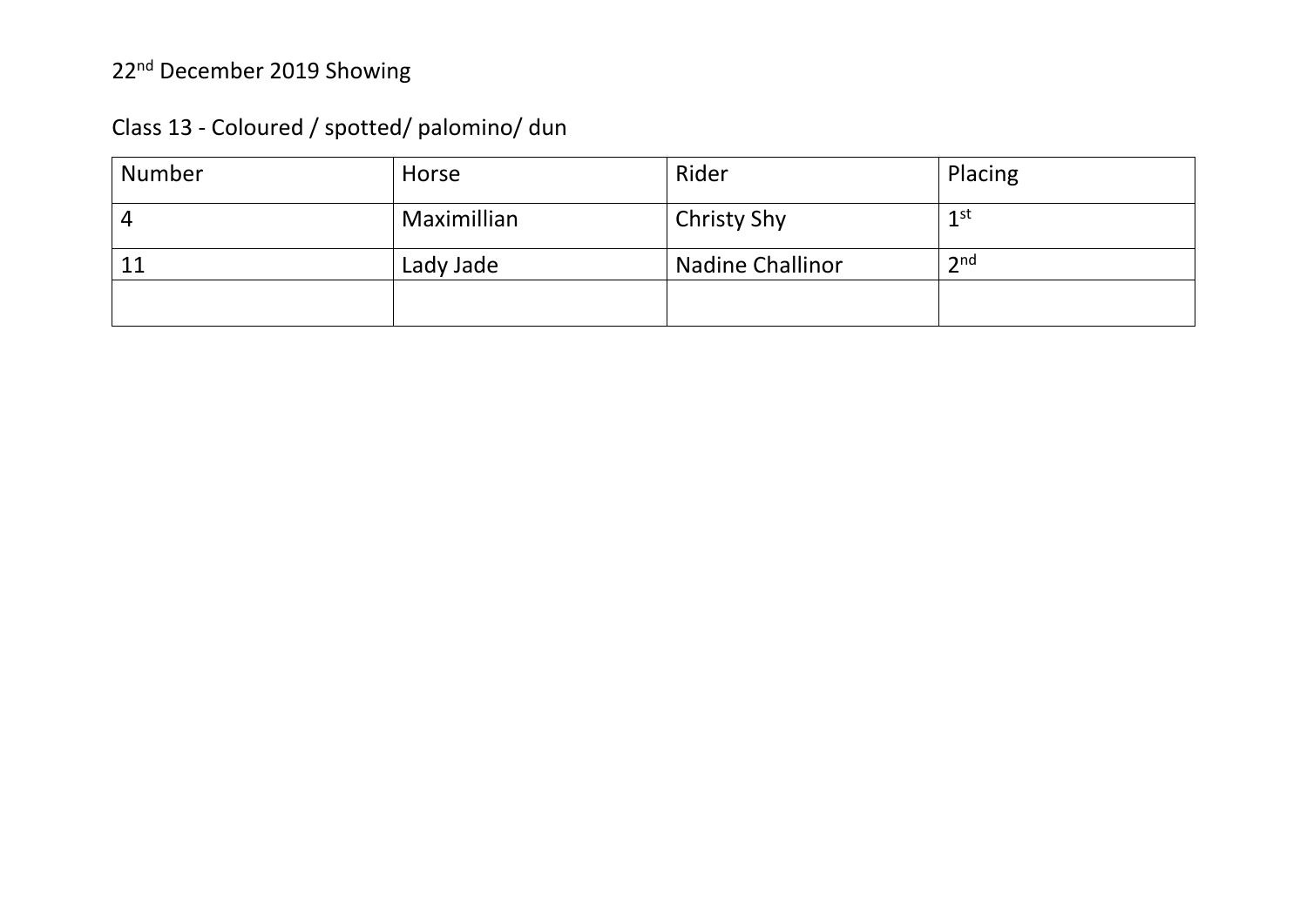| Number | Horse       | Rider                   | Placing         |
|--------|-------------|-------------------------|-----------------|
|        | Maximillian | <b>Christy Shy</b>      | 1 <sup>st</sup> |
| 11     | Lady Jade   | <b>Nadine Challinor</b> | 2 <sub>nd</sub> |
|        |             |                         |                 |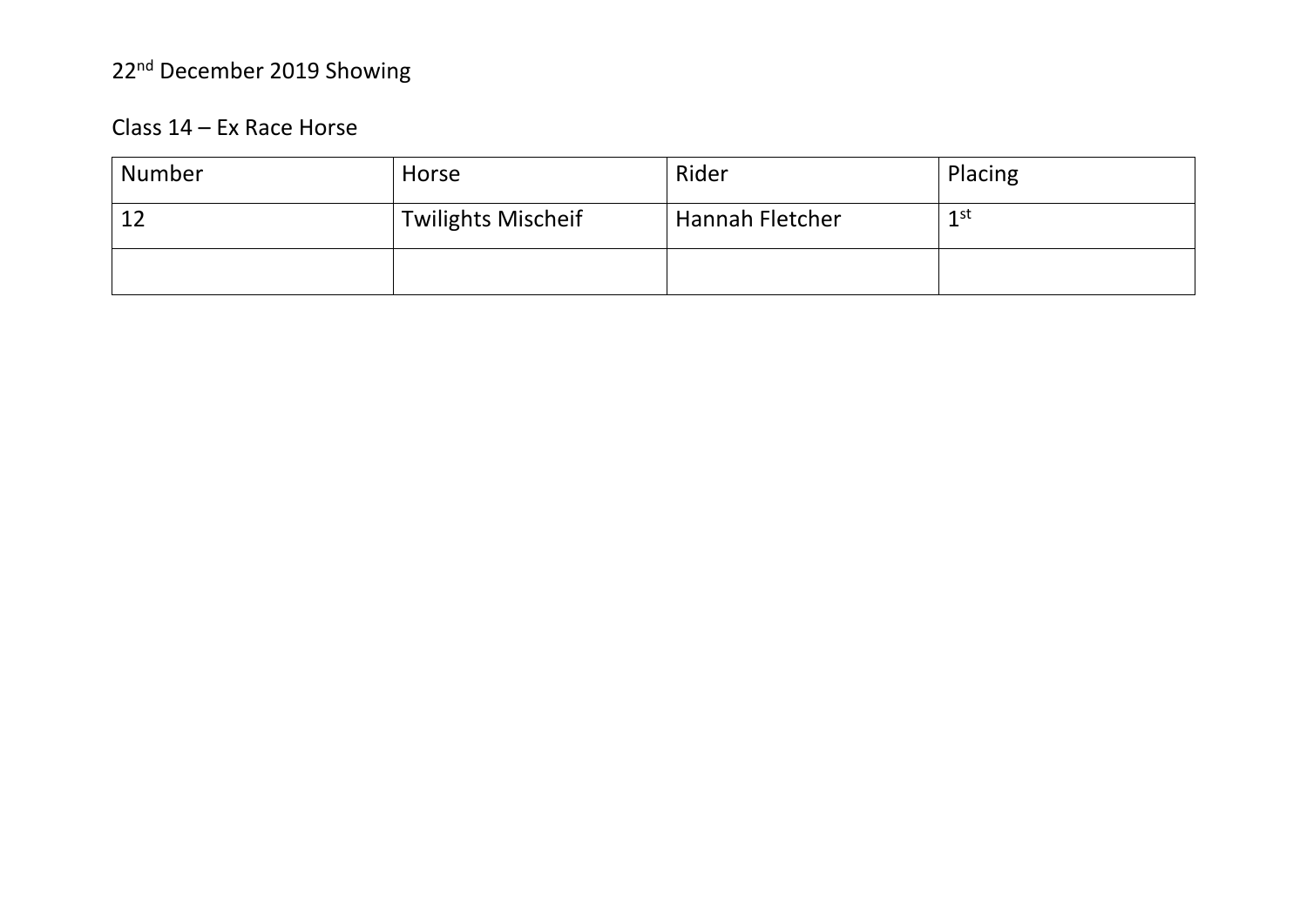#### Class 14 - Ex Race Horse

| Number | Horse                     | Rider                  | Placing |
|--------|---------------------------|------------------------|---------|
|        | <b>Twilights Mischeif</b> | <b>Hannah Fletcher</b> | 1st     |
|        |                           |                        |         |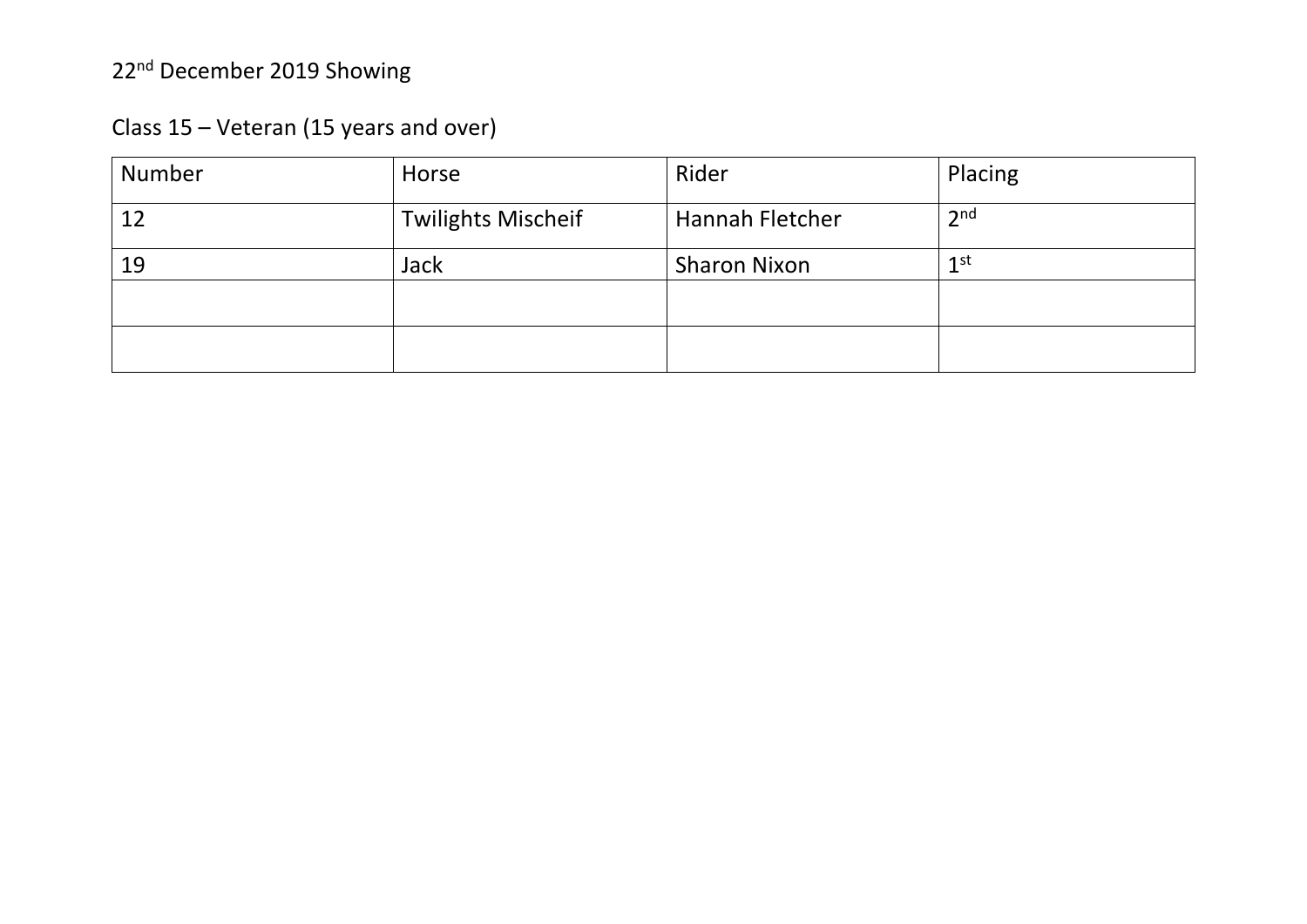| Number | Horse                     | Rider               | Placing         |
|--------|---------------------------|---------------------|-----------------|
| 12     | <b>Twilights Mischeif</b> | Hannah Fletcher     | 2 <sub>nd</sub> |
| 19     | <b>Jack</b>               | <b>Sharon Nixon</b> | 1 <sup>st</sup> |
|        |                           |                     |                 |
|        |                           |                     |                 |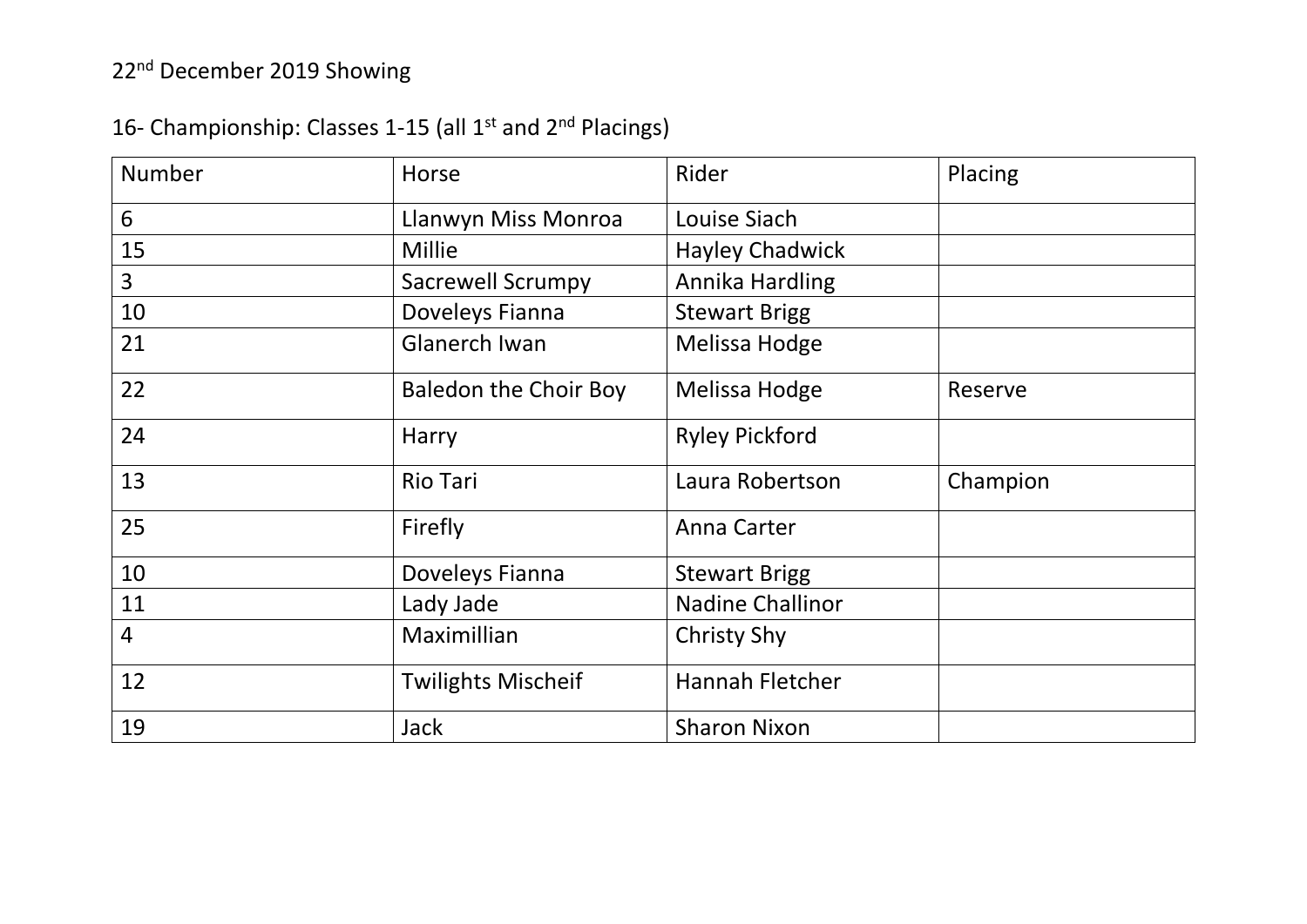### 16- Championship: Classes 1-15 (all 1<sup>st</sup> and 2<sup>nd</sup> Placings)

| <b>Number</b>  | Horse                        | Rider                   | Placing  |
|----------------|------------------------------|-------------------------|----------|
| 6              | Llanwyn Miss Monroa          | Louise Siach            |          |
| 15             | <b>Millie</b>                | <b>Hayley Chadwick</b>  |          |
| $\overline{3}$ | <b>Sacrewell Scrumpy</b>     | Annika Hardling         |          |
| 10             | Doveleys Fianna              | <b>Stewart Brigg</b>    |          |
| 21             | <b>Glanerch Iwan</b>         | Melissa Hodge           |          |
| 22             | <b>Baledon the Choir Boy</b> | Melissa Hodge           | Reserve  |
| 24             | Harry                        | <b>Ryley Pickford</b>   |          |
| 13             | <b>Rio Tari</b>              | Laura Robertson         | Champion |
| 25             | Firefly                      | <b>Anna Carter</b>      |          |
| 10             | Doveleys Fianna              | <b>Stewart Brigg</b>    |          |
| 11             | Lady Jade                    | <b>Nadine Challinor</b> |          |
| $\overline{4}$ | Maximillian                  | <b>Christy Shy</b>      |          |
| 12             | <b>Twilights Mischeif</b>    | <b>Hannah Fletcher</b>  |          |
| 19             | <b>Jack</b>                  | <b>Sharon Nixon</b>     |          |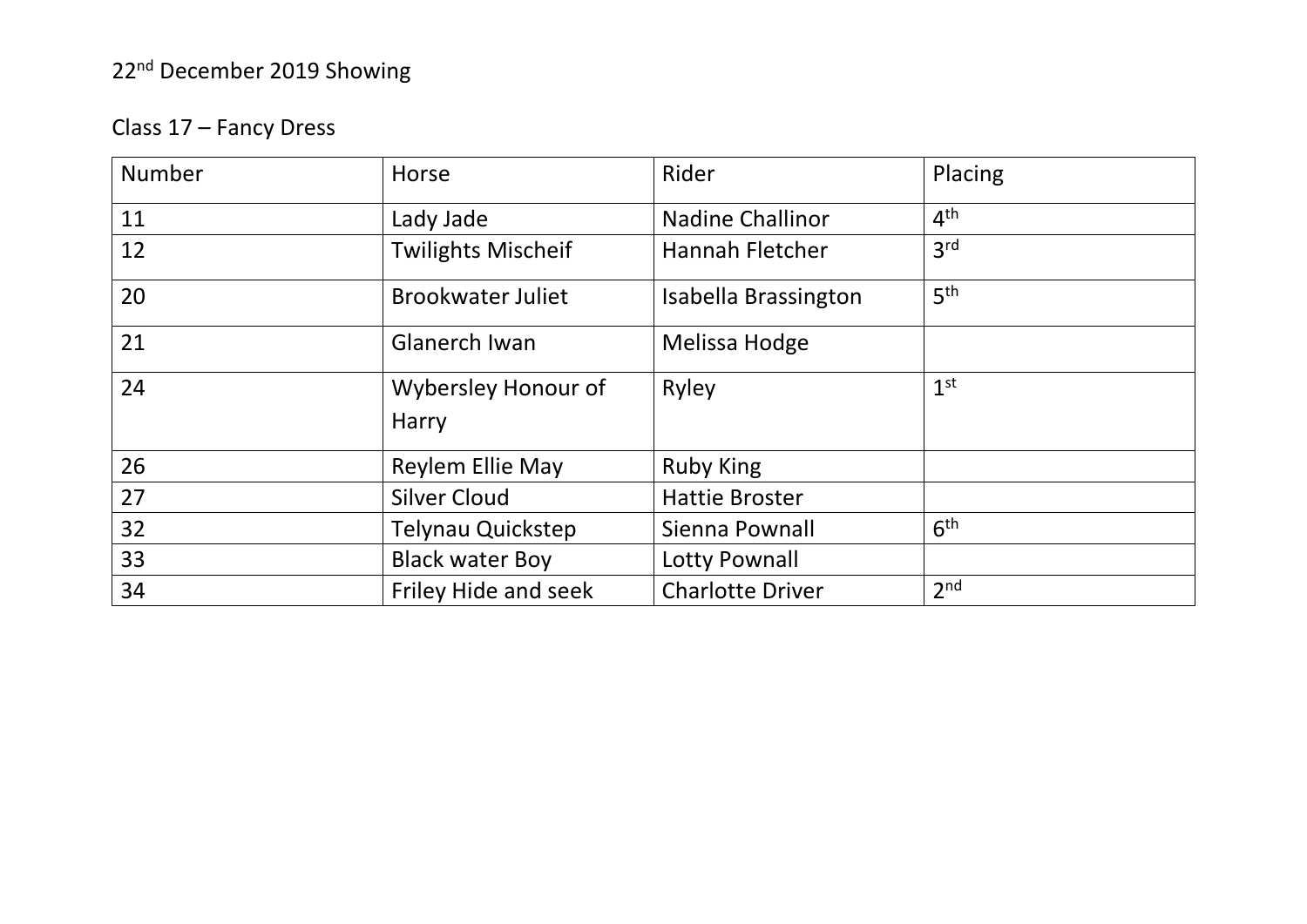### Class 17 – Fancy Dress

| Number | Horse                               | Rider                   | Placing         |
|--------|-------------------------------------|-------------------------|-----------------|
| 11     | Lady Jade                           | <b>Nadine Challinor</b> | 4 <sup>th</sup> |
| 12     | <b>Twilights Mischeif</b>           | Hannah Fletcher         | 3 <sup>rd</sup> |
| 20     | <b>Brookwater Juliet</b>            | Isabella Brassington    | 5 <sup>th</sup> |
| 21     | <b>Glanerch Iwan</b>                | Melissa Hodge           |                 |
| 24     | Wybersley Honour of<br><b>Harry</b> | Ryley                   | 1 <sup>st</sup> |
| 26     | <b>Reylem Ellie May</b>             | <b>Ruby King</b>        |                 |
| 27     | <b>Silver Cloud</b>                 | <b>Hattie Broster</b>   |                 |
| 32     | <b>Telynau Quickstep</b>            | Sienna Pownall          | 6 <sup>th</sup> |
| 33     | <b>Black water Boy</b>              | Lotty Pownall           |                 |
| 34     | Friley Hide and seek                | <b>Charlotte Driver</b> | 2 <sub>nd</sub> |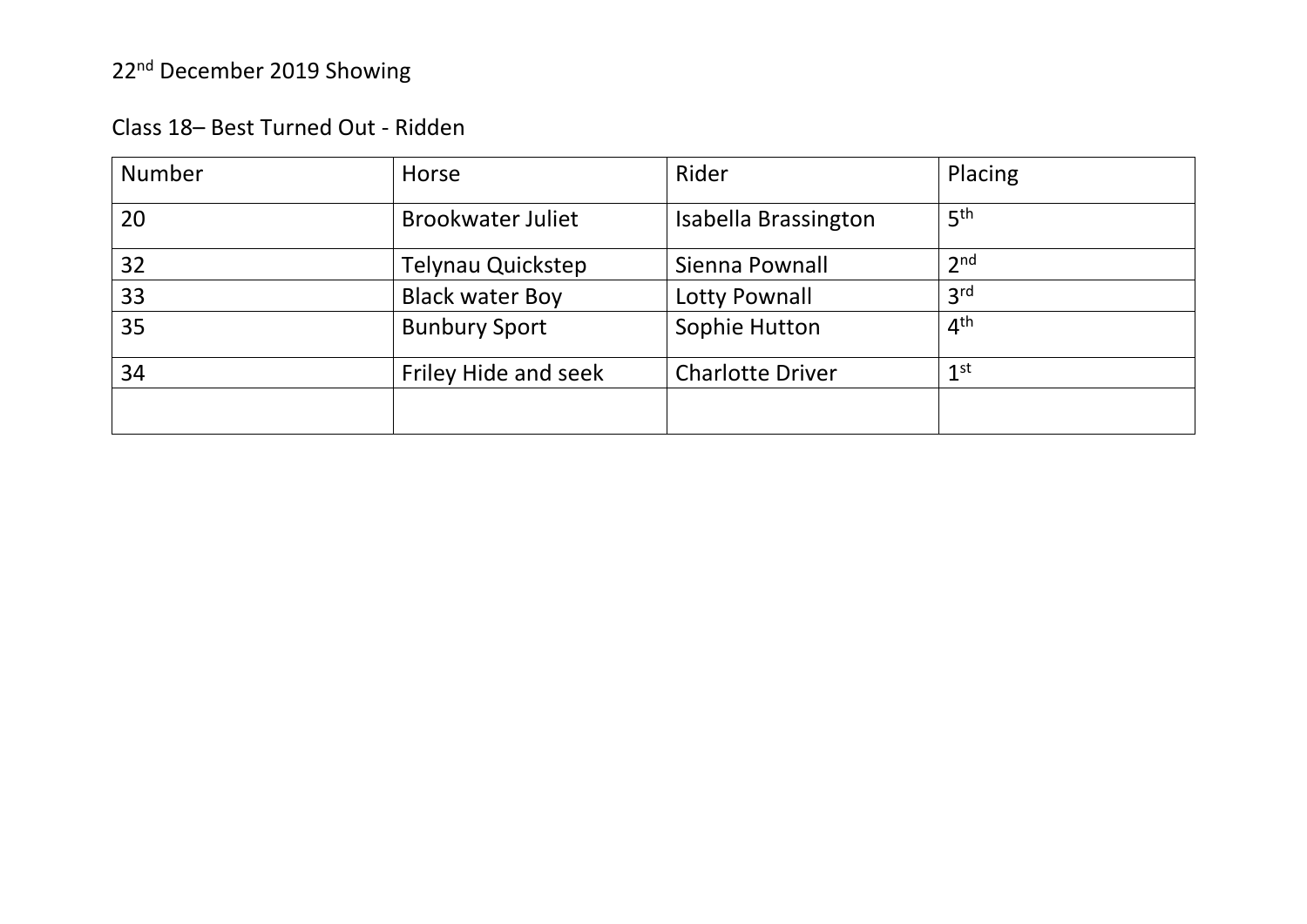| Class 18- Best Turned Out - Ridden |  |
|------------------------------------|--|
|------------------------------------|--|

| <b>Number</b> | Horse                    | Rider                   | Placing         |
|---------------|--------------------------|-------------------------|-----------------|
| 20            | <b>Brookwater Juliet</b> | Isabella Brassington    | 5 <sup>th</sup> |
| 32            | Telynau Quickstep        | Sienna Pownall          | 2 <sub>nd</sub> |
| 33            | <b>Black water Boy</b>   | Lotty Pownall           | 3 <sup>rd</sup> |
| 35            | <b>Bunbury Sport</b>     | Sophie Hutton           | 4 <sup>th</sup> |
| 34            | Friley Hide and seek     | <b>Charlotte Driver</b> | 1 <sup>st</sup> |
|               |                          |                         |                 |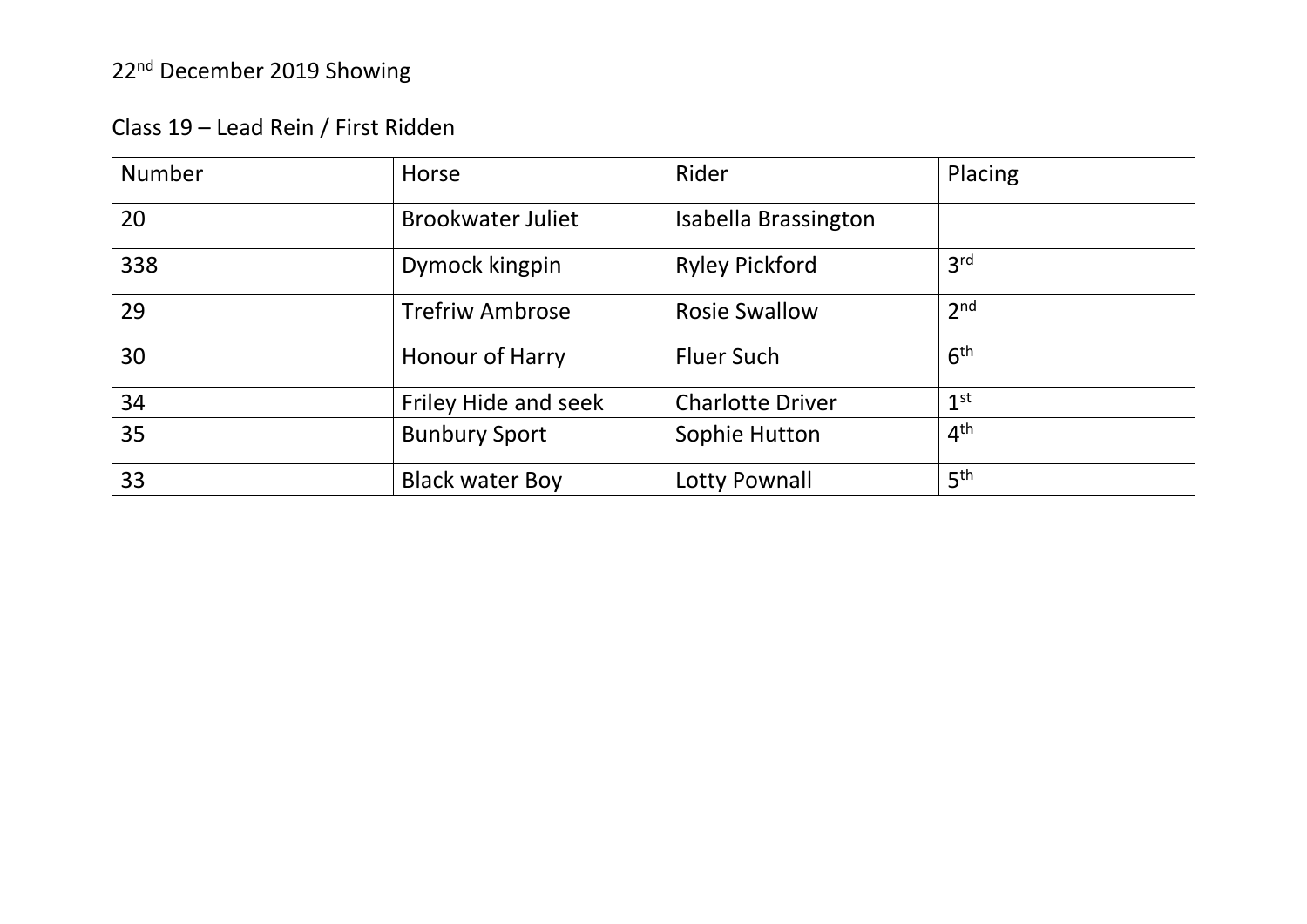| Class 19 - Lead Rein / First Ridden |  |
|-------------------------------------|--|
|-------------------------------------|--|

| Number | Horse                    | Rider                   | Placing         |
|--------|--------------------------|-------------------------|-----------------|
| 20     | <b>Brookwater Juliet</b> | Isabella Brassington    |                 |
| 338    | Dymock kingpin           | <b>Ryley Pickford</b>   | 3 <sup>rd</sup> |
| 29     | <b>Trefriw Ambrose</b>   | <b>Rosie Swallow</b>    | 2 <sub>nd</sub> |
| 30     | Honour of Harry          | <b>Fluer Such</b>       | 6 <sup>th</sup> |
| 34     | Friley Hide and seek     | <b>Charlotte Driver</b> | 1 <sup>st</sup> |
| 35     | <b>Bunbury Sport</b>     | Sophie Hutton           | 4 <sup>th</sup> |
| 33     | <b>Black water Boy</b>   | <b>Lotty Pownall</b>    | 5 <sup>th</sup> |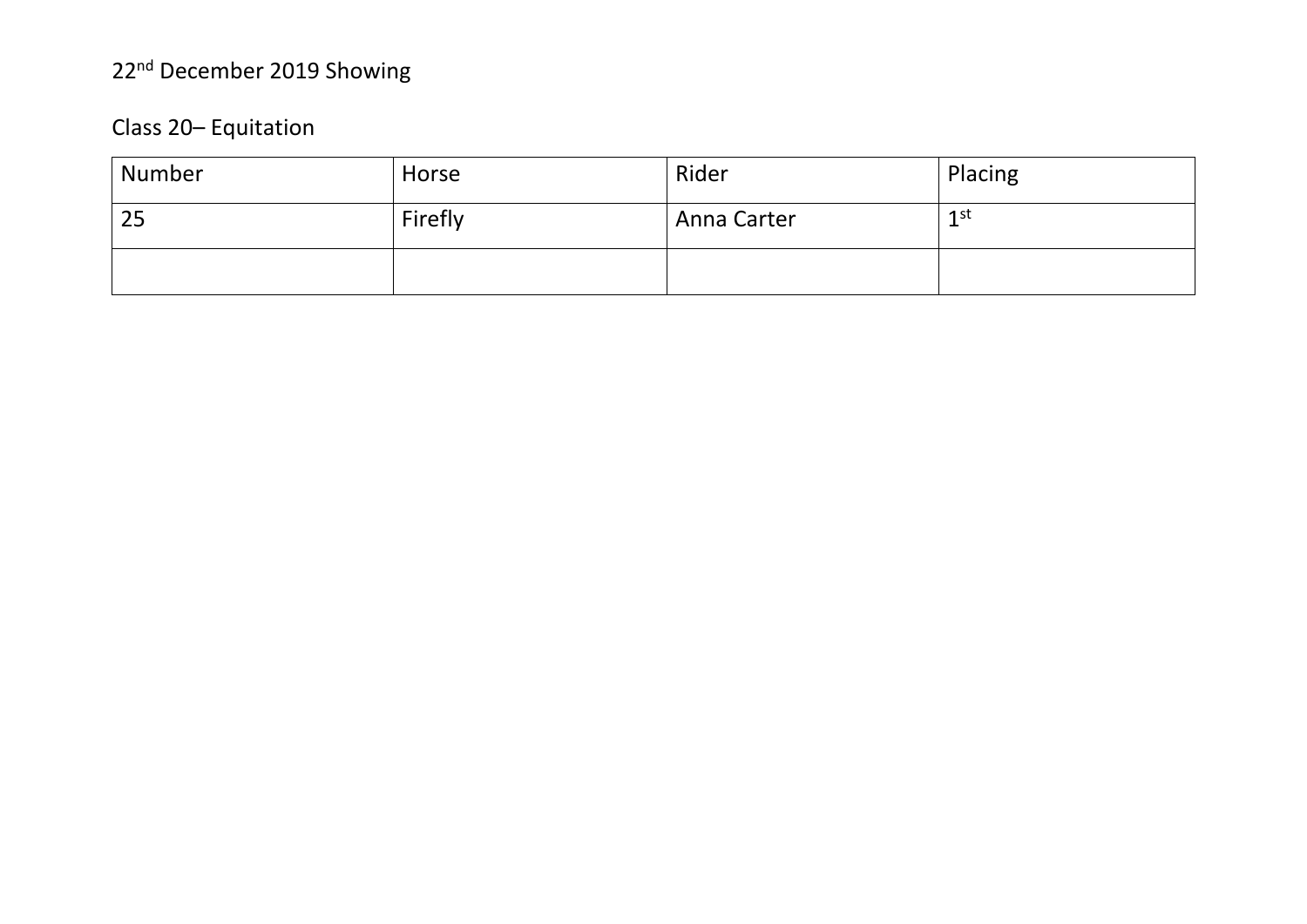### Class 20-Equitation

| Number | Horse   | Rider       | Placing         |
|--------|---------|-------------|-----------------|
| 25     | Firefly | Anna Carter | 1 <sup>st</sup> |
|        |         |             |                 |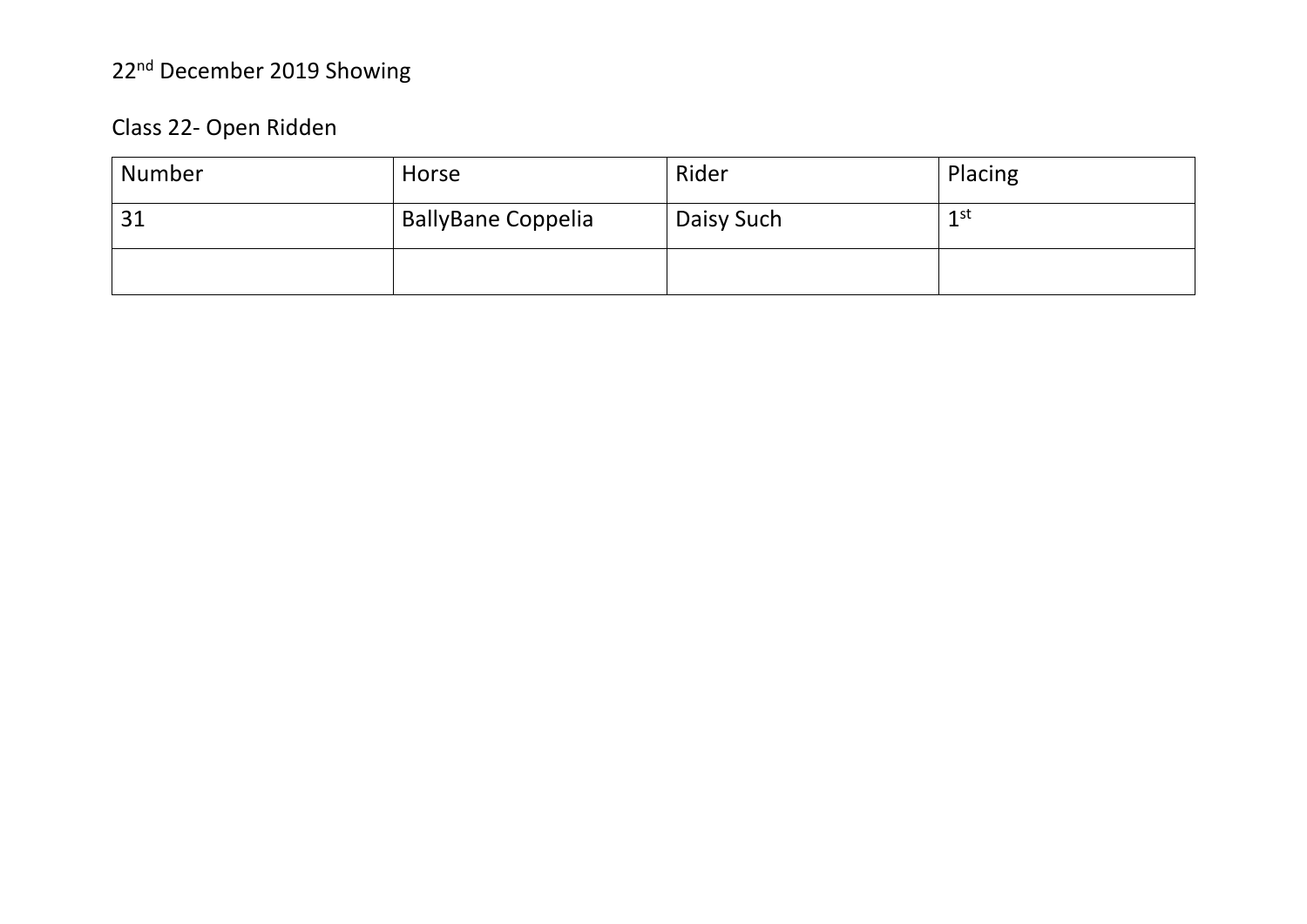### Class 22- Open Ridden

| Number | Horse                     | Rider      | Placing |
|--------|---------------------------|------------|---------|
| 31     | <b>BallyBane Coppelia</b> | Daisy Such | $1$ st  |
|        |                           |            |         |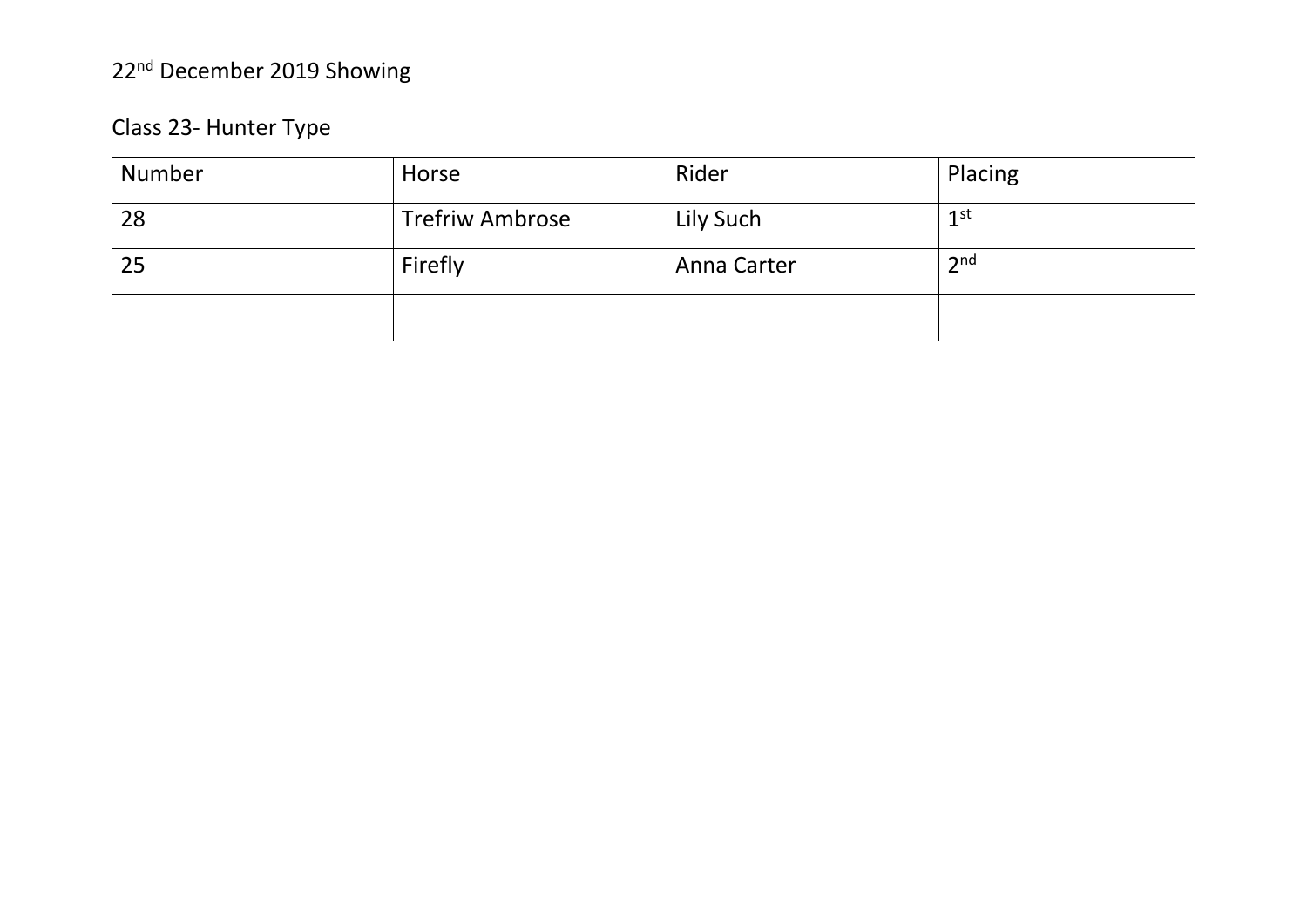### Class 23- Hunter Type

| Number | Horse                  | Rider       | Placing         |
|--------|------------------------|-------------|-----------------|
| 28     | <b>Trefriw Ambrose</b> | Lily Such   | 1 st            |
| 25     | Firefly                | Anna Carter | 2 <sub>nd</sub> |
|        |                        |             |                 |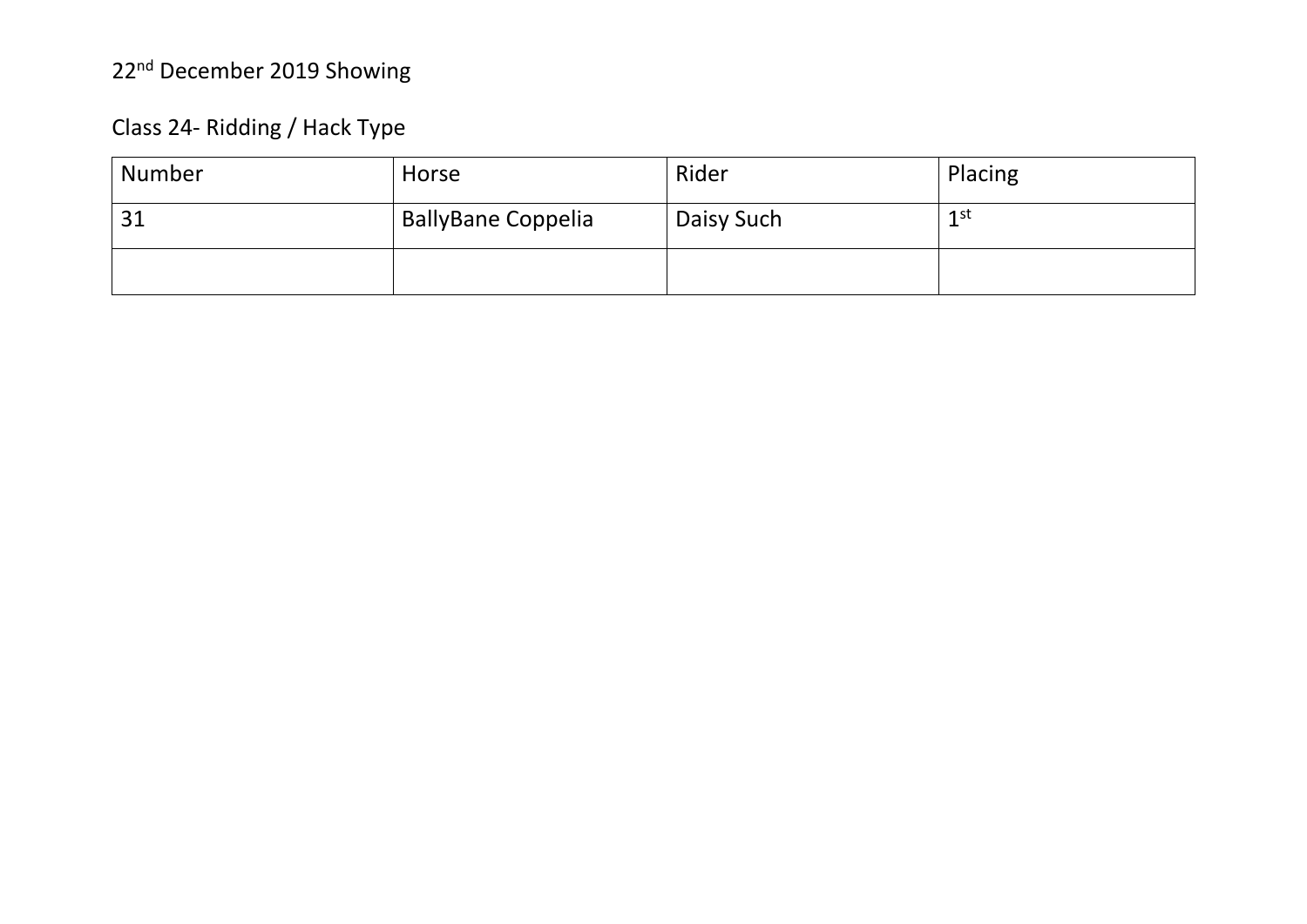### Class 24- Ridding / Hack Type

| Number | Horse                     | Rider      | Placing |
|--------|---------------------------|------------|---------|
| 31     | <b>BallyBane Coppelia</b> | Daisy Such | $1$ st  |
|        |                           |            |         |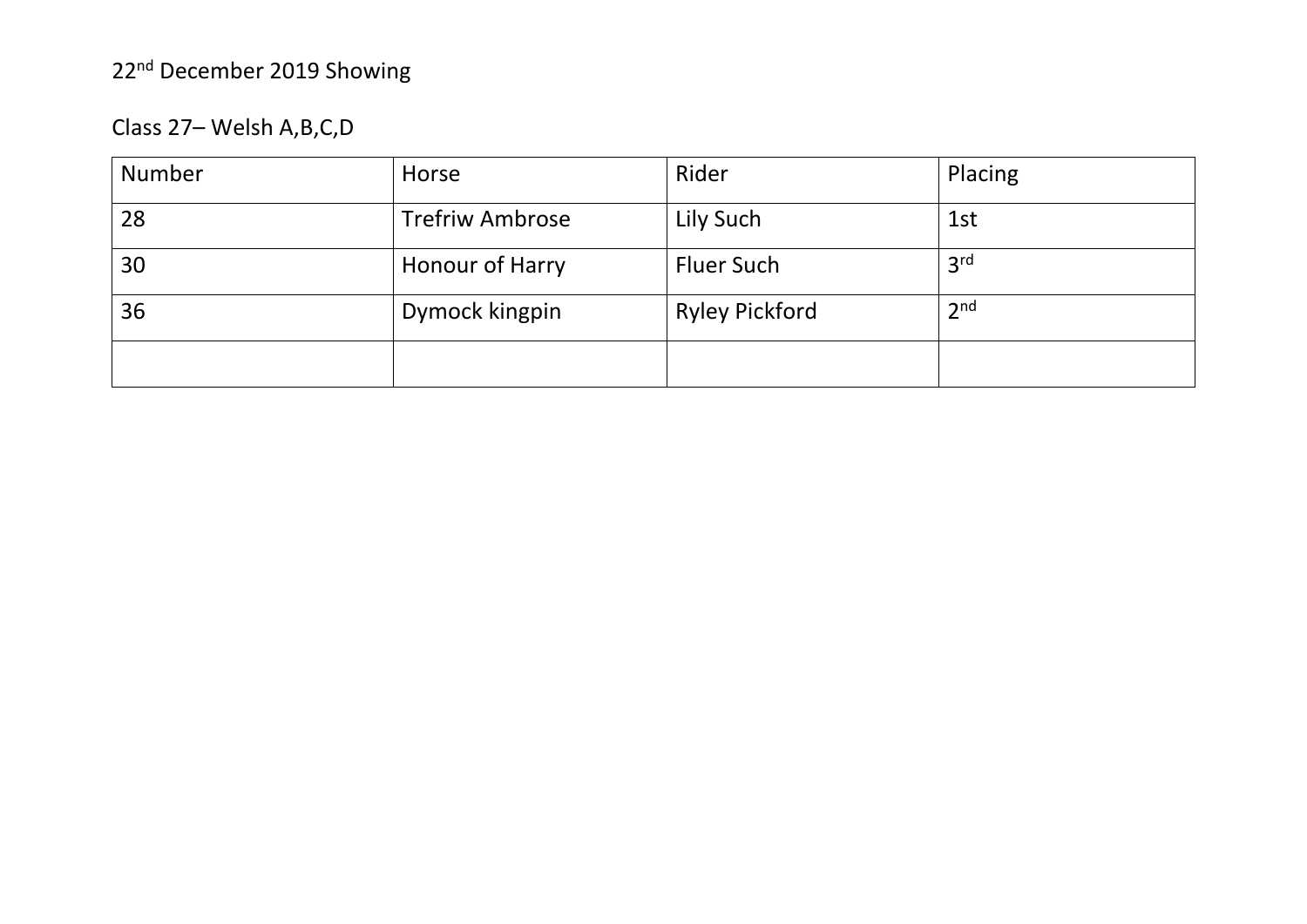Class 27– Welsh A,B,C,D

| Number | Horse                  | Rider                 | Placing         |
|--------|------------------------|-----------------------|-----------------|
| 28     | <b>Trefriw Ambrose</b> | Lily Such             | 1st             |
| 30     | Honour of Harry        | <b>Fluer Such</b>     | 3 <sup>rd</sup> |
| 36     | Dymock kingpin         | <b>Ryley Pickford</b> | 2 <sub>nd</sub> |
|        |                        |                       |                 |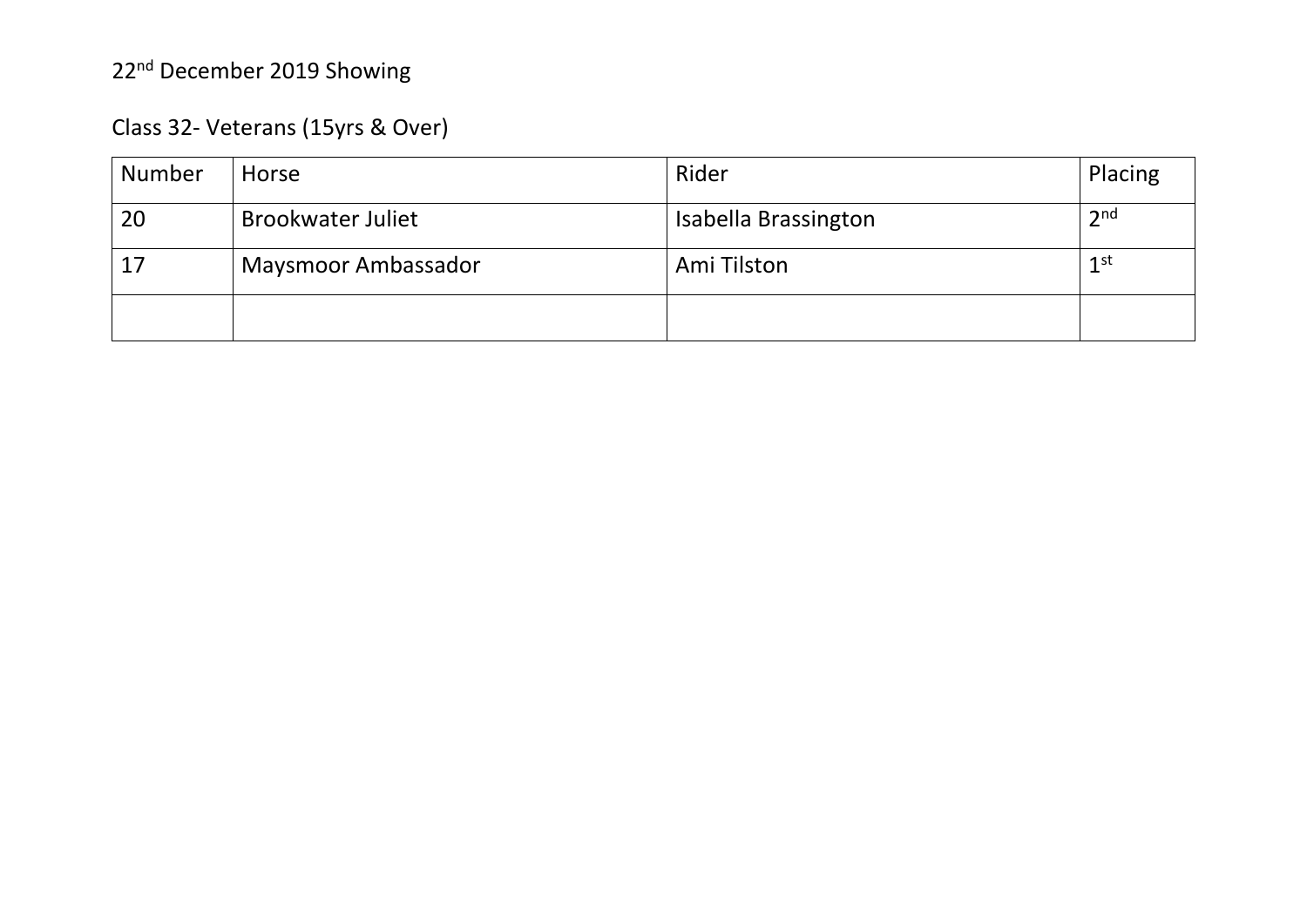### Class 32- Veterans (15yrs & Over)

| Number | Horse                      | Rider                | Placing         |
|--------|----------------------------|----------------------|-----------------|
| 20     | <b>Brookwater Juliet</b>   | Isabella Brassington | 2 <sup>nd</sup> |
|        | <b>Maysmoor Ambassador</b> | Ami Tilston          | 1 <sup>st</sup> |
|        |                            |                      |                 |